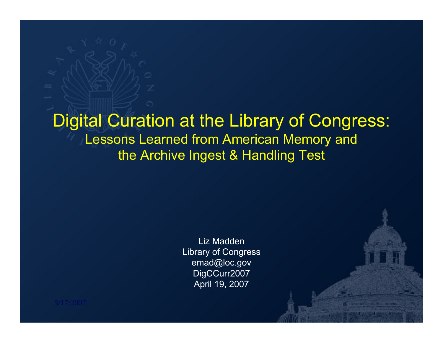#### Digital Curation at the Library of Congress: Lessons Learned from American Memory and the Archive Ingest & Handling Test

Liz MaddenLibrary of Congress emad@loc.gov DigCCurr2007 April 19, 2007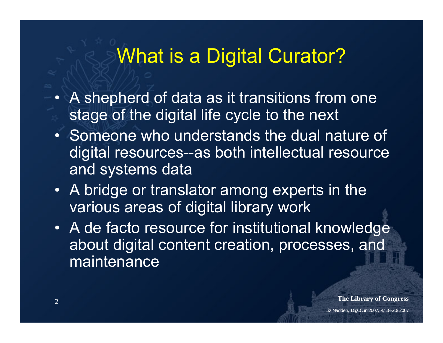## What is a Digital Curator?

- A shepherd of data as it transitions from one stage of the digital life cycle to the next
- Someone who understands the dual nature of digital resources--as both intellectual resource and systems data
- A bridge or translator among experts in the various areas of digital library work
- A de facto resource for institutional knowledge about digital content creation, processes, and maintenance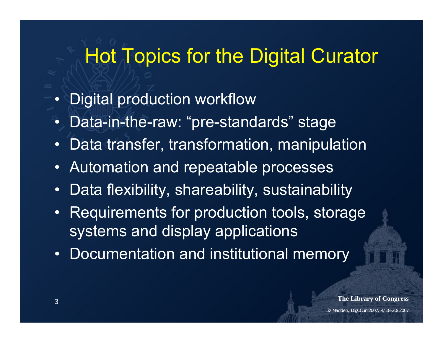## Hot Topics for the Digital Curator

- •Digital production workflow
- •Data-in-the-raw: "pre-standards" stage
- •Data transfer, transformation, manipulation
- •Automation and repeatable processes
- •Data flexibility, shareability, sustainability
- Requirements for production tools, storage systems and display applications
- •Documentation and institutional memory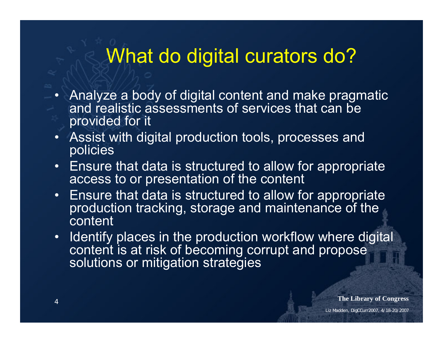## What do digital curators do?

- Analyze a body of digital content and make pragmatic and realistic assessments of services that can be provided for it
- Assist with digital production tools, processes and policies
- Ensure that data is structured to allow for appropriate access to or presentation of the content
- Ensure that data is structured to allow for appropriate production tracking, storage and maintenance of the content
- •Identify places in the production workflow where digital content is at risk of becoming corrupt and propose solutions or mitigation strategies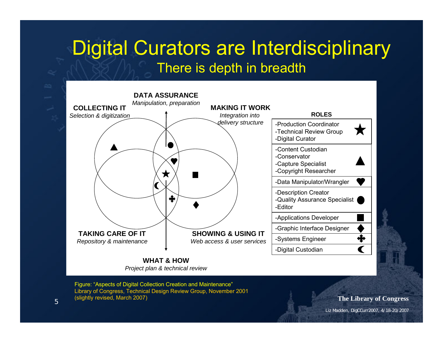#### Digital Curators are Interdisciplinary There is depth in breadth



*Project plan & technical review*

Figure: "Aspects of Digital Collection Creation and Maintenance" Library of Congress, Technical Design Review Group, November 2001 (slightly revised, March 2007)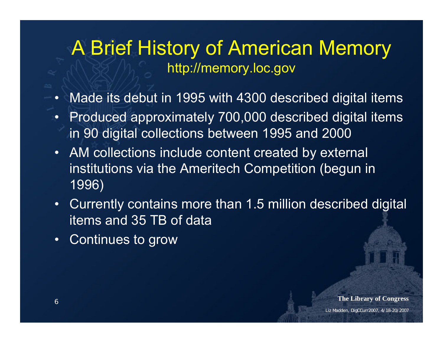#### A Brief History of American Memory http://memory.loc.gov

- Made its debut in 1995 with 4300 described digital items
- • Produced approximately 700,000 described digital items in 90 digital collections between 1995 and 2000
- AM collections include content created by external institutions via the Ameritech Competition (begun in 1996)
- Currently contains more than 1.5 million described digital items and 35 TB of data
- •Continues to grow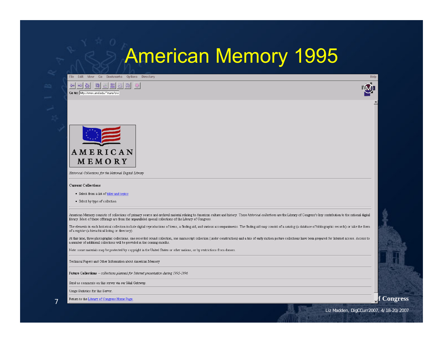### American Memory 1995

Edit, View Go Bookmarks Ontions Directory





Historical Collections for the National Digital Library

#### **Current Collections**

- · Select from a list of titles and topics
- · Select by type of collection

American Memory consists of collections of primary source and archival material relating to American culture and history. These historical collections are the Library of Congress's key contribution to the national digital library. Most of these offerings are from the unparalleled special collections of the Library of Congress.

The elements in each historical collection include digital reproductions of items, a finding aid, and various accompaniments. The finding aid may consist of a catalog (a database of bibliographic records) or take the form of a register (a hierachical listing or directory).

At this time, three photographic collections, one recorded sound collection, one manuscript collection (under construction) and a trio of early motion picture collections have been prepared for Internet access. Access to a number of additional collections will be provided in the coming months.

Note: some materials may be protected by copyright in the United States or other nations, or by restrictions from donors.

Technical Papers and Other Information about American Memory

Future Collections -- collections planned for Internet presentation during 1995-1996

Send us comments on this server via our Mail Gateway

Usage Statistics for this Server

7

The Library of Congress Home Page.<br> **The Library of Congress Home Page.** 

M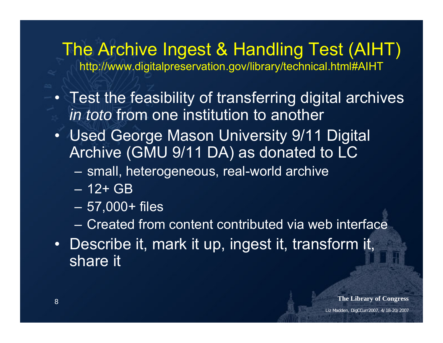# The Archive Ingest & Handling Test (AIHT)

http://www.digitalpreservation.gov/library/technical.html#AIHT

- Test the feasibility of transferring digital archives *in toto* from one institution to another
- Used George Mason University 9/11 Digital Archive (GMU 9/11 DA) as donated to LC
	- $\sim$ small, heterogeneous, real-world archive
	- 12+ GB
	- 57,000+ files
	- Created from content contributed via web interface
- Describe it, mark it up, ingest it, transform it, share it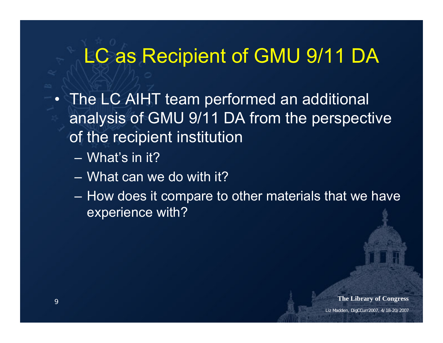### LC as Recipient of GMU 9/11 DA

- The LC AIHT team performed an additional analysis of GMU 9/11 DA from the perspective of the recipient institution
	- What's in it?
	- What can we do with it?
	- How does it compare to other materials that we have experience with?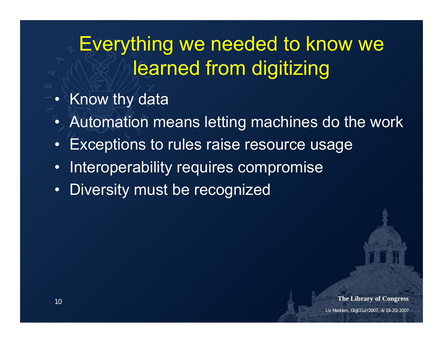### Everything we needed to know we learned from digitizing

- Know thy data
- •Automation means letting machines do the work
- •Exceptions to rules raise resource usage
- •Interoperability requires compromise
- •Diversity must be recognized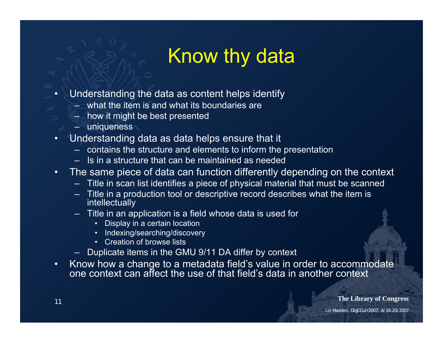## Know thy data

- • Understanding the data as content helps identify
	- what the item is and what its boundaries are
	- how it might be best presented
	- uniqueness
- • Understanding data as data helps ensure that it
	- contains the structure and elements to inform the presentation
	- Is in a structure that can be maintained as needed
- • The same piece of data can function differently depending on the context
	- Title in scan list identifies a piece of physical material that must be scanned
	- Title in a production tool or descriptive record describes what the item is intellectually
	- Title in an application is a field whose data is used for
		- •Display in a certain location
		- •Indexing/searching/discovery
		- Creation of browse lists
	- Duplicate items in the GMU 9/11 DA differ by context
- $\bullet$  Know how a change to a metadata field's value in order to accommodate one context can affect the use of that field's data in another context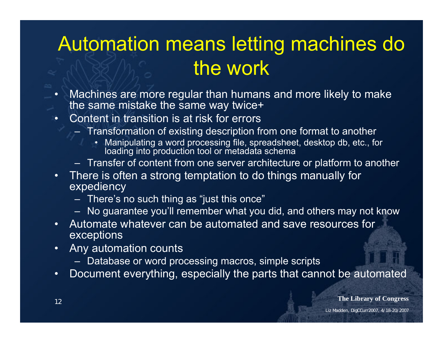## Automation means letting machines do the work

- • Machines are more regular than humans and more likely to make the same mistake the same way twice+
- • Content in transition is at risk for errors
	- Transformation of existing description from one format to another
		- Manipulating a word processing file, spreadsheet, desktop db, etc., for loading into production tool or metadata schema
	- Transfer of content from one server architecture or platform to another
- • There is often a strong temptation to do things manually for expediency
	- There's no such thing as "just this once"
	- No guarantee you'll remember what you did, and others may not know
- • Automate whatever can be automated and save resources for exceptions
- • Any automation counts
	- Database or word processing macros, simple scripts
- •Document everything, especially the parts that cannot be automated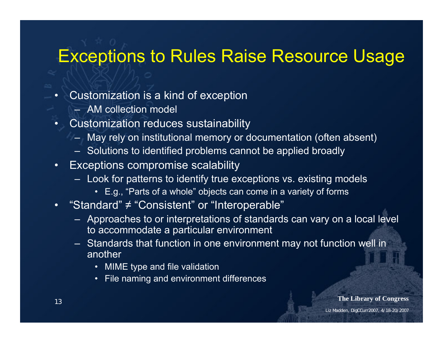#### Exceptions to Rules Raise Resource Usage

- • Customization is a kind of exception
	- AM collection model
- • Customization reduces sustainability
	- May rely on institutional memory or documentation (often absent)
	- Solutions to identified problems cannot be applied broadly
- • Exceptions compromise scalability
	- Look for patterns to identify true exceptions vs. existing models
		- E.g., "Parts of a whole" objects can come in a variety of forms
- • "Standard" ≠ "Consistent" or "Interoperable"
	- Approaches to or interpretations of standards can vary on a local level to accommodate a particular environment
	- Standards that function in one environment may not function well in another
		- MIME type and file validation
		- File naming and environment differences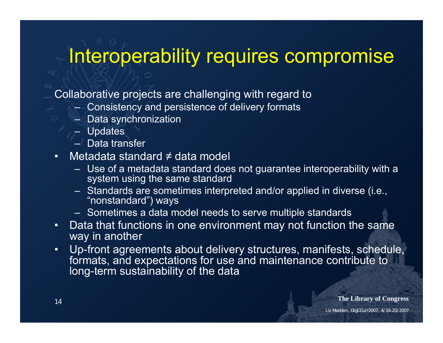## Interoperability requires compromise

Collaborative projects are challenging with regard to

- Consistency and persistence of delivery formats
- Data synchronization
- Updates
- Data transfer
- Metadata standard ≠ data model
	- Use of a metadata standard does not guarantee interoperability with a system using the same standard
	- Standards are sometimes interpreted and/or applied in diverse (i.e., "nonstandard") ways
	- Sometimes a data model needs to serve multiple standards
- • Data that functions in one environment may not function the same way in another
- • Up-front agreements about delivery structures, manifests, schedule, formats, and expectations for use and maintenance contribute to long-term sustainability of the data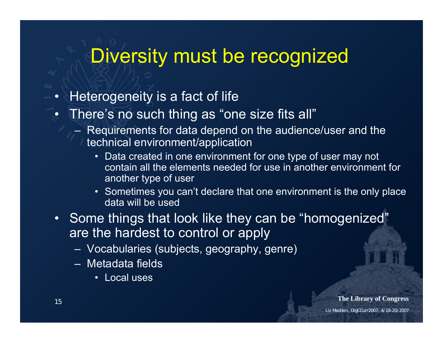### Diversity must be recognized

- •Heterogeneity is a fact of life
- • There's no such thing as "one size fits all"
	- Requirements for data depend on the audience/user and the technical environment/application
		- Data created in one environment for one type of user may not contain all the elements needed for use in another environment for another type of user
		- Sometimes you can't declare that one environment is the only place data will be used
- Some things that look like they can be "homogenized" are the hardest to control or apply
	- Vocabularies (subjects, geography, genre)
	- Metadata fields
		- Local uses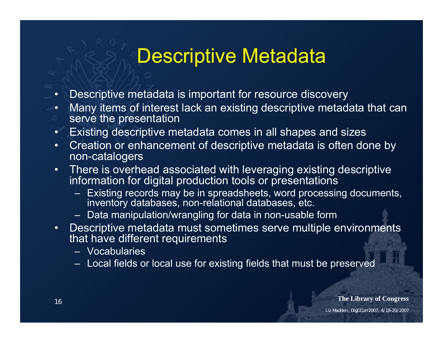### Descriptive Metadata

- •Descriptive metadata is important for resource discovery
- • Many items of interest lack an existing descriptive metadata that can serve the presentation
- •Existing descriptive metadata comes in all shapes and sizes
- • Creation or enhancement of descriptive metadata is often done by non-catalogers
- • There is overhead associated with leveraging existing descriptive information for digital production tools or presentations
	- Existing records may be in spreadsheets, word processing documents, inventory databases, non-relational databases, etc.
	- Data manipulation/wrangling for data in non-usable form
- • Descriptive metadata must sometimes serve multiple environments that have different requirements
	- Vocabularies
	- Local fields or local use for existing fields that must be preserved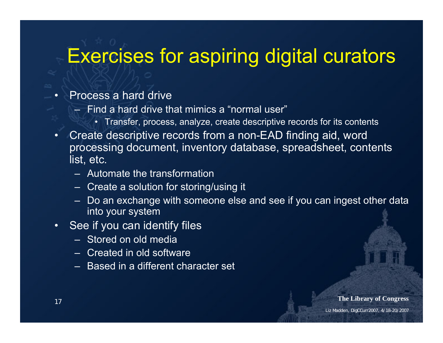#### Exercises for aspiring digital curators

#### •Process a hard drive

- Find a hard drive that mimics a "normal user"
	- Transfer, process, analyze, create descriptive records for its contents
- • Create descriptive records from a non-EAD finding aid, word processing document, inventory database, spreadsheet, contents list, etc.
	- Automate the transformation
	- Create a solution for storing/using it
	- Do an exchange with someone else and see if you can ingest other data into your system
- • See if you can identify files
	- Stored on old media
	- Created in old software
	- Based in a different character set